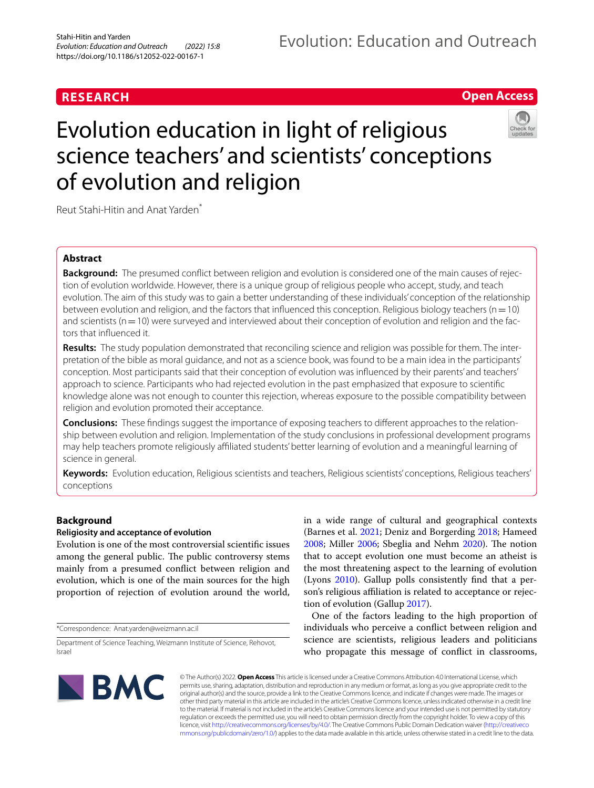# **RESEARCH**

# Evolution: Education and Outreach

## **Open Access**





Reut Stahi‑Hitin and Anat Yarden\*

## **Abstract**

**Background:** The presumed conflict between religion and evolution is considered one of the main causes of rejection of evolution worldwide. However, there is a unique group of religious people who accept, study, and teach evolution. The aim of this study was to gain a better understanding of these individuals' conception of the relationship between evolution and religion, and the factors that influenced this conception. Religious biology teachers ( $n=10$ ) and scientists ( $n=10$ ) were surveyed and interviewed about their conception of evolution and religion and the factors that infuenced it.

**Results:** The study population demonstrated that reconciling science and religion was possible for them. The inter‑ pretation of the bible as moral guidance, and not as a science book, was found to be a main idea in the participants' conception. Most participants said that their conception of evolution was infuenced by their parents' and teachers' approach to science. Participants who had rejected evolution in the past emphasized that exposure to scientifc knowledge alone was not enough to counter this rejection, whereas exposure to the possible compatibility between religion and evolution promoted their acceptance.

**Conclusions:** These fndings suggest the importance of exposing teachers to diferent approaches to the relation‑ ship between evolution and religion. Implementation of the study conclusions in professional development programs may help teachers promote religiously afliated students' better learning of evolution and a meaningful learning of science in general.

**Keywords:** Evolution education, Religious scientists and teachers, Religious scientists' conceptions, Religious teachers' conceptions

## **Background**

## **Religiosity and acceptance of evolution**

Evolution is one of the most controversial scientifc issues among the general public. The public controversy stems mainly from a presumed confict between religion and evolution, which is one of the main sources for the high proportion of rejection of evolution around the world,

\*Correspondence: Anat.yarden@weizmann.ac.il

Department of Science Teaching, Weizmann Institute of Science, Rehovot, Israel

in a wide range of cultural and geographical contexts (Barnes et al. [2021;](#page-14-0) Deniz and Borgerding [2018;](#page-14-1) Hameed [2008](#page-14-2); Miller [2006](#page-14-3); Sbeglia and Nehm [2020\)](#page-14-4). The notion that to accept evolution one must become an atheist is the most threatening aspect to the learning of evolution (Lyons [2010\)](#page-14-5). Gallup polls consistently fnd that a person's religious affiliation is related to acceptance or rejection of evolution (Gallup [2017\)](#page-14-6).

One of the factors leading to the high proportion of individuals who perceive a confict between religion and science are scientists, religious leaders and politicians who propagate this message of confict in classrooms,



© The Author(s) 2022. **Open Access** This article is licensed under a Creative Commons Attribution 4.0 International License, which permits use, sharing, adaptation, distribution and reproduction in any medium or format, as long as you give appropriate credit to the original author(s) and the source, provide a link to the Creative Commons licence, and indicate if changes were made. The images or other third party material in this article are included in the article's Creative Commons licence, unless indicated otherwise in a credit line to the material. If material is not included in the article's Creative Commons licence and your intended use is not permitted by statutory regulation or exceeds the permitted use, you will need to obtain permission directly from the copyright holder. To view a copy of this licence, visit [http://creativecommons.org/licenses/by/4.0/.](http://creativecommons.org/licenses/by/4.0/) The Creative Commons Public Domain Dedication waiver ([http://creativeco](http://creativecommons.org/publicdomain/zero/1.0/) [mmons.org/publicdomain/zero/1.0/](http://creativecommons.org/publicdomain/zero/1.0/)) applies to the data made available in this article, unless otherwise stated in a credit line to the data.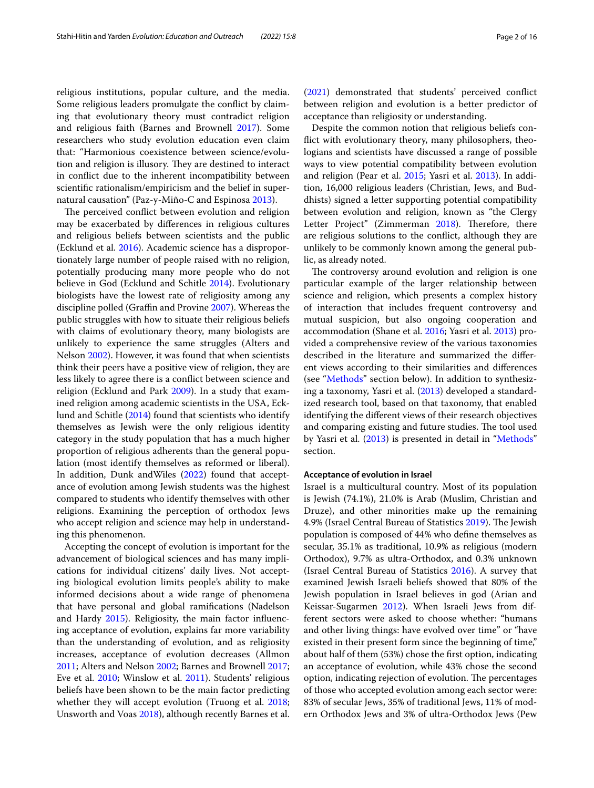religious institutions, popular culture, and the media. Some religious leaders promulgate the confict by claiming that evolutionary theory must contradict religion and religious faith (Barnes and Brownell [2017](#page-14-7)). Some researchers who study evolution education even claim that: "Harmonious coexistence between science/evolution and religion is illusory. They are destined to interact in confict due to the inherent incompatibility between scientifc rationalism/empiricism and the belief in supernatural causation" (Paz-y-Miño-C and Espinosa [2013\)](#page-14-8).

The perceived conflict between evolution and religion may be exacerbated by diferences in religious cultures and religious beliefs between scientists and the public (Ecklund et al. [2016\)](#page-14-9). Academic science has a disproportionately large number of people raised with no religion, potentially producing many more people who do not believe in God (Ecklund and Schitle [2014\)](#page-14-10). Evolutionary biologists have the lowest rate of religiosity among any discipline polled (Graffin and Provine [2007](#page-14-11)). Whereas the public struggles with how to situate their religious beliefs with claims of evolutionary theory, many biologists are unlikely to experience the same struggles (Alters and Nelson [2002\)](#page-14-12). However, it was found that when scientists think their peers have a positive view of religion, they are less likely to agree there is a confict between science and religion (Ecklund and Park [2009](#page-14-13)). In a study that examined religion among academic scientists in the USA, Ecklund and Schitle ([2014](#page-14-10)) found that scientists who identify themselves as Jewish were the only religious identity category in the study population that has a much higher proportion of religious adherents than the general population (most identify themselves as reformed or liberal). In addition, Dunk andWiles [\(2022\)](#page-14-14) found that acceptance of evolution among Jewish students was the highest compared to students who identify themselves with other religions. Examining the perception of orthodox Jews who accept religion and science may help in understanding this phenomenon.

Accepting the concept of evolution is important for the advancement of biological sciences and has many implications for individual citizens' daily lives. Not accepting biological evolution limits people's ability to make informed decisions about a wide range of phenomena that have personal and global ramifcations (Nadelson and Hardy [2015](#page-14-15)). Religiosity, the main factor infuencing acceptance of evolution, explains far more variability than the understanding of evolution, and as religiosity increases, acceptance of evolution decreases (Allmon [2011](#page-14-16); Alters and Nelson [2002;](#page-14-12) Barnes and Brownell [2017](#page-14-7); Eve et al. [2010;](#page-14-17) Winslow et al. [2011\)](#page-15-0). Students' religious beliefs have been shown to be the main factor predicting whether they will accept evolution (Truong et al. [2018](#page-15-1); Unsworth and Voas [2018](#page-15-2)), although recently Barnes et al.

([2021\)](#page-14-0) demonstrated that students' perceived confict between religion and evolution is a better predictor of acceptance than religiosity or understanding.

Despite the common notion that religious beliefs confict with evolutionary theory, many philosophers, theologians and scientists have discussed a range of possible ways to view potential compatibility between evolution and religion (Pear et al. [2015](#page-14-18); Yasri et al. [2013\)](#page-15-3). In addition, 16,000 religious leaders (Christian, Jews, and Buddhists) signed a letter supporting potential compatibility between evolution and religion, known as "the Clergy Letter Project" (Zimmerman [2018\)](#page-15-4). Therefore, there are religious solutions to the confict, although they are unlikely to be commonly known among the general public, as already noted.

The controversy around evolution and religion is one particular example of the larger relationship between science and religion, which presents a complex history of interaction that includes frequent controversy and mutual suspicion, but also ongoing cooperation and accommodation (Shane et al. [2016;](#page-15-5) Yasri et al. [2013](#page-15-3)) provided a comprehensive review of the various taxonomies described in the literature and summarized the diferent views according to their similarities and diferences (see "[Methods](#page-2-0)" section below). In addition to synthesizing a taxonomy, Yasri et al. ([2013](#page-15-3)) developed a standardized research tool, based on that taxonomy, that enabled identifying the diferent views of their research objectives and comparing existing and future studies. The tool used by Yasri et al. [\(2013](#page-15-3)) is presented in detail in ["Methods"](#page-2-0) section.

#### **Acceptance of evolution in Israel**

Israel is a multicultural country. Most of its population is Jewish (74.1%), 21.0% is Arab (Muslim, Christian and Druze), and other minorities make up the remaining 4.9% (Israel Central Bureau of Statistics [2019\)](#page-14-19). The Jewish population is composed of 44% who defne themselves as secular, 35.1% as traditional, 10.9% as religious (modern Orthodox), 9.7% as ultra-Orthodox, and 0.3% unknown (Israel Central Bureau of Statistics [2016](#page-14-20)). A survey that examined Jewish Israeli beliefs showed that 80% of the Jewish population in Israel believes in god (Arian and Keissar-Sugarmen [2012\)](#page-14-21). When Israeli Jews from different sectors were asked to choose whether: "humans and other living things: have evolved over time" or "have existed in their present form since the beginning of time," about half of them (53%) chose the frst option, indicating an acceptance of evolution, while 43% chose the second option, indicating rejection of evolution. The percentages of those who accepted evolution among each sector were: 83% of secular Jews, 35% of traditional Jews, 11% of modern Orthodox Jews and 3% of ultra-Orthodox Jews (Pew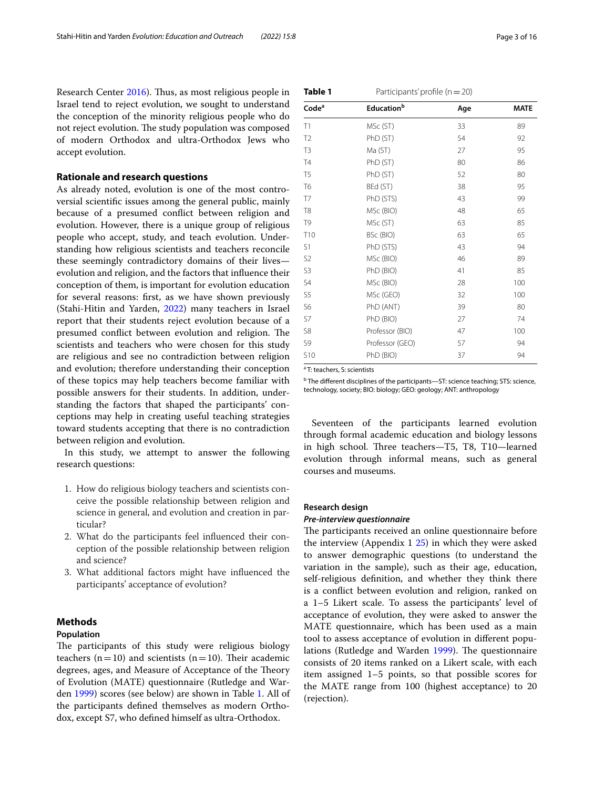Research Center [2016\)](#page-14-22). Thus, as most religious people in Israel tend to reject evolution, we sought to understand the conception of the minority religious people who do not reject evolution. The study population was composed of modern Orthodox and ultra-Orthodox Jews who accept evolution.

## **Rationale and research questions**

As already noted, evolution is one of the most controversial scientifc issues among the general public, mainly because of a presumed confict between religion and evolution. However, there is a unique group of religious people who accept, study, and teach evolution. Understanding how religious scientists and teachers reconcile these seemingly contradictory domains of their lives evolution and religion, and the factors that infuence their conception of them, is important for evolution education for several reasons: frst, as we have shown previously (Stahi-Hitin and Yarden, [2022](#page-15-6)) many teachers in Israel report that their students reject evolution because of a presumed conflict between evolution and religion. The scientists and teachers who were chosen for this study are religious and see no contradiction between religion and evolution; therefore understanding their conception of these topics may help teachers become familiar with possible answers for their students. In addition, understanding the factors that shaped the participants' conceptions may help in creating useful teaching strategies toward students accepting that there is no contradiction between religion and evolution.

In this study, we attempt to answer the following research questions:

- 1. How do religious biology teachers and scientists conceive the possible relationship between religion and science in general, and evolution and creation in particular?
- 2. What do the participants feel infuenced their conception of the possible relationship between religion and science?
- 3. What additional factors might have infuenced the participants' acceptance of evolution?

## <span id="page-2-0"></span>**Methods**

#### **Population**

The participants of this study were religious biology teachers ( $n=10$ ) and scientists ( $n=10$ ). Their academic degrees, ages, and Measure of Acceptance of the Theory of Evolution (MATE) questionnaire (Rutledge and Warden [1999](#page-14-23)) scores (see below) are shown in Table [1.](#page-2-1) All of the participants defned themselves as modern Orthodox, except S7, who defned himself as ultra-Orthodox.

| ianic i           | $\mu$ and chequence $\mu$ is $\mu$ of $\mu$ is $\mu$ is $\mu$ is $\mu$ is $\mu$ is $\mu$ is $\mu$ is $\mu$ is $\mu$ |     |             |  |  |  |  |
|-------------------|---------------------------------------------------------------------------------------------------------------------|-----|-------------|--|--|--|--|
| Code <sup>a</sup> | <b>Education</b> <sup>b</sup>                                                                                       | Age | <b>MATE</b> |  |  |  |  |
| T1                | MSc (ST)                                                                                                            | 33  | 89          |  |  |  |  |
| T <sub>2</sub>    | PhD (ST)                                                                                                            | 54  | 92          |  |  |  |  |
| T <sub>3</sub>    | Ma (ST)                                                                                                             | 27  | 95          |  |  |  |  |
| T4                | PhD (ST)                                                                                                            | 80  | 86          |  |  |  |  |
| T <sub>5</sub>    | PhD (ST)                                                                                                            | 52  | 80          |  |  |  |  |
| T <sub>6</sub>    | BEd (ST)                                                                                                            | 38  | 95          |  |  |  |  |
| T7                | PhD (STS)                                                                                                           | 43  | 99          |  |  |  |  |
| T <sub>8</sub>    | MSc (BIO)                                                                                                           | 48  | 65          |  |  |  |  |
| T <sub>9</sub>    | MSc (ST)                                                                                                            | 63  | 85          |  |  |  |  |
| T10               | BSc (BIO)                                                                                                           | 63  | 65          |  |  |  |  |
| S1                | PhD (STS)                                                                                                           | 43  | 94          |  |  |  |  |
| S <sub>2</sub>    | MSc (BIO)                                                                                                           | 46  | 89          |  |  |  |  |
| S3                | PhD (BIO)                                                                                                           | 41  | 85          |  |  |  |  |
| S4                | MSc (BIO)                                                                                                           | 28  | 100         |  |  |  |  |
| S <sub>5</sub>    | MSc (GEO)                                                                                                           | 32  | 100         |  |  |  |  |
| S6                | PhD (ANT)                                                                                                           | 39  | 80          |  |  |  |  |
| S7                | PhD (BIO)                                                                                                           | 27  | 74          |  |  |  |  |
| S8                | Professor (BIO)                                                                                                     | 47  | 100         |  |  |  |  |
| S9                | Professor (GEO)                                                                                                     | 57  | 94          |  |  |  |  |
| <b>S10</b>        | PhD (BIO)                                                                                                           | 37  | 94          |  |  |  |  |

<span id="page-2-1"></span>**Table 1** Participants' profle (n=20)

<sup>a</sup> T: teachers, S: scientists

<sup>b</sup> The different disciplines of the participants-ST: science teaching; STS: science, technology, society; BIO: biology; GEO: geology; ANT: anthropology

Seventeen of the participants learned evolution through formal academic education and biology lessons in high school. Three teachers-T5, T8, T10-learned evolution through informal means, such as general courses and museums.

## **Research design**

#### *Pre‑interview questionnaire*

The participants received an online questionnaire before the interview (Appendix  $1\,25$ ) in which they were asked to answer demographic questions (to understand the variation in the sample), such as their age, education, self-religious defnition, and whether they think there is a confict between evolution and religion, ranked on a 1–5 Likert scale. To assess the participants' level of acceptance of evolution, they were asked to answer the MATE questionnaire, which has been used as a main tool to assess acceptance of evolution in diferent popu-lations (Rutledge and Warden [1999](#page-14-23)). The questionnaire consists of 20 items ranked on a Likert scale, with each item assigned 1–5 points, so that possible scores for the MATE range from 100 (highest acceptance) to 20 (rejection).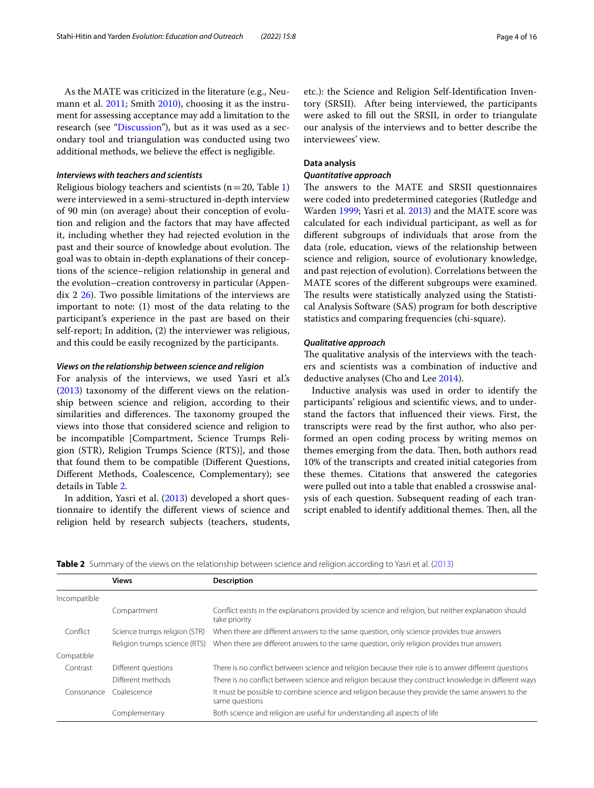As the MATE was criticized in the literature (e.g., Neu-mann et al. [2011;](#page-14-24) Smith [2010](#page-15-7)), choosing it as the instrument for assessing acceptance may add a limitation to the research (see "[Discussion](#page-9-0)"), but as it was used as a secondary tool and triangulation was conducted using two additional methods, we believe the efect is negligible.

#### *Interviews with teachers and scientists*

Religious biology teachers and scientists ( $n=20$ , Table [1](#page-2-1)) were interviewed in a semi-structured in-depth interview of 90 min (on average) about their conception of evolution and religion and the factors that may have afected it, including whether they had rejected evolution in the past and their source of knowledge about evolution. The goal was to obtain in-depth explanations of their conceptions of the science–religion relationship in general and the evolution–creation controversy in particular (Appendix 2 [26\)](#page-13-0). Two possible limitations of the interviews are important to note: (1) most of the data relating to the participant's experience in the past are based on their self-report; In addition, (2) the interviewer was religious, and this could be easily recognized by the participants.

#### *Views on the relationship between science and religion*

For analysis of the interviews, we used Yasri et al.'s ([2013\)](#page-15-3) taxonomy of the diferent views on the relationship between science and religion, according to their similarities and differences. The taxonomy grouped the views into those that considered science and religion to be incompatible [Compartment, Science Trumps Religion (STR), Religion Trumps Science (RTS)], and those that found them to be compatible (Diferent Questions, Diferent Methods, Coalescence, Complementary); see details in Table [2](#page-3-0).

In addition, Yasri et al. [\(2013\)](#page-15-3) developed a short questionnaire to identify the diferent views of science and religion held by research subjects (teachers, students, etc.): the Science and Religion Self-Identifcation Inventory (SRSII). After being interviewed, the participants were asked to fll out the SRSII, in order to triangulate our analysis of the interviews and to better describe the interviewees' view.

## **Data analysis**

## *Quantitative approach*

The answers to the MATE and SRSII questionnaires were coded into predetermined categories (Rutledge and Warden [1999;](#page-14-23) Yasri et al. [2013](#page-15-3)) and the MATE score was calculated for each individual participant, as well as for diferent subgroups of individuals that arose from the data (role, education, views of the relationship between science and religion, source of evolutionary knowledge, and past rejection of evolution). Correlations between the MATE scores of the diferent subgroups were examined. The results were statistically analyzed using the Statistical Analysis Software (SAS) program for both descriptive statistics and comparing frequencies (chi-square).

#### *Qualitative approach*

The qualitative analysis of the interviews with the teachers and scientists was a combination of inductive and deductive analyses (Cho and Lee [2014\)](#page-14-25).

Inductive analysis was used in order to identify the participants' religious and scientifc views, and to understand the factors that infuenced their views. First, the transcripts were read by the frst author, who also performed an open coding process by writing memos on themes emerging from the data. Then, both authors read 10% of the transcripts and created initial categories from these themes. Citations that answered the categories were pulled out into a table that enabled a crosswise analysis of each question. Subsequent reading of each transcript enabled to identify additional themes. Then, all the

<span id="page-3-0"></span>

|  |  |  |  | <b>Table 2</b> Summary of the views on the relationship between science and religion according to Yasri et al. (2013) |  |  |
|--|--|--|--|-----------------------------------------------------------------------------------------------------------------------|--|--|
|  |  |  |  |                                                                                                                       |  |  |

|              | <b>Views</b>                  | <b>Description</b>                                                                                                    |
|--------------|-------------------------------|-----------------------------------------------------------------------------------------------------------------------|
| Incompatible |                               |                                                                                                                       |
|              | Compartment                   | Conflict exists in the explanations provided by science and religion, but neither explanation should<br>take priority |
| Conflict     | Science trumps religion (STR) | When there are different answers to the same question, only science provides true answers                             |
|              | Religion trumps science (RTS) | When there are different answers to the same question, only religion provides true answers                            |
| Compatible   |                               |                                                                                                                       |
| Contrast     | Different questions           | There is no conflict between science and religion because their role is to answer different questions                 |
|              | Different methods             | There is no conflict between science and religion because they construct knowledge in different ways                  |
| Consonance   | Coalescence                   | It must be possible to combine science and religion because they provide the same answers to the<br>same questions    |
|              | Complementary                 | Both science and religion are useful for understanding all aspects of life                                            |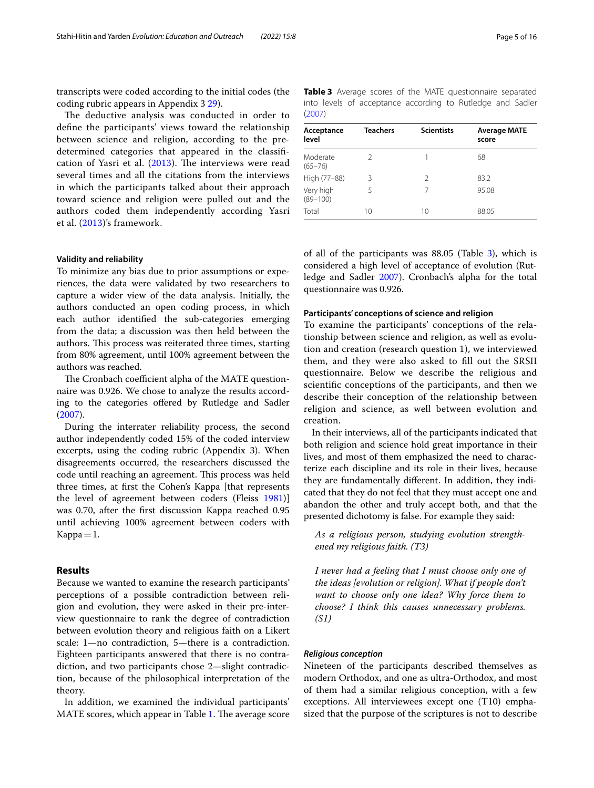transcripts were coded according to the initial codes (the coding rubric appears in Appendix 3 [29](#page-13-1)).

The deductive analysis was conducted in order to defne the participants' views toward the relationship between science and religion, according to the predetermined categories that appeared in the classifcation of Yasri et al.  $(2013)$  $(2013)$  $(2013)$ . The interviews were read several times and all the citations from the interviews in which the participants talked about their approach toward science and religion were pulled out and the authors coded them independently according Yasri et al. ([2013\)](#page-15-3)'s framework.

#### **Validity and reliability**

To minimize any bias due to prior assumptions or experiences, the data were validated by two researchers to capture a wider view of the data analysis. Initially, the authors conducted an open coding process, in which each author identifed the sub-categories emerging from the data; a discussion was then held between the authors. This process was reiterated three times, starting from 80% agreement, until 100% agreement between the authors was reached.

The Cronbach coefficient alpha of the MATE questionnaire was 0.926. We chose to analyze the results according to the categories ofered by Rutledge and Sadler ([2007\)](#page-14-26).

During the interrater reliability process, the second author independently coded 15% of the coded interview excerpts, using the coding rubric (Appendix 3). When disagreements occurred, the researchers discussed the code until reaching an agreement. This process was held three times, at frst the Cohen's Kappa [that represents the level of agreement between coders (Fleiss [1981](#page-14-27))] was 0.70, after the frst discussion Kappa reached 0.95 until achieving 100% agreement between coders with  $Kappa=1$ .

#### **Results**

Because we wanted to examine the research participants' perceptions of a possible contradiction between religion and evolution, they were asked in their pre-interview questionnaire to rank the degree of contradiction between evolution theory and religious faith on a Likert scale: 1—no contradiction, 5—there is a contradiction. Eighteen participants answered that there is no contradiction, and two participants chose 2—slight contradiction, because of the philosophical interpretation of the theory.

In addition, we examined the individual participants' MATE scores, which appear in Table [1.](#page-2-1) The average score <span id="page-4-0"></span>**Table 3** Average scores of the MATE questionnaire separated into levels of acceptance according to Rutledge and Sadler [\(2007\)](#page-14-26)

| Acceptance<br>level       | <b>Teachers</b> | <b>Scientists</b> | <b>Average MATE</b><br>score |
|---------------------------|-----------------|-------------------|------------------------------|
| Moderate<br>$(65 - 76)$   | 2               |                   | 68                           |
| High (77-88)              | 3               | $\mathcal{P}$     | 83.2                         |
| Very high<br>$(89 - 100)$ | 5               | 7                 | 95.08                        |
| Total                     | 10              | 10                | 88.05                        |

of all of the participants was 88.05 (Table [3\)](#page-4-0), which is considered a high level of acceptance of evolution (Rutledge and Sadler [2007](#page-14-26)). Cronbach's alpha for the total questionnaire was 0.926.

#### **Participants' conceptions of science and religion**

To examine the participants' conceptions of the relationship between science and religion, as well as evolution and creation (research question 1), we interviewed them, and they were also asked to fll out the SRSII questionnaire. Below we describe the religious and scientifc conceptions of the participants, and then we describe their conception of the relationship between religion and science, as well between evolution and creation.

In their interviews, all of the participants indicated that both religion and science hold great importance in their lives, and most of them emphasized the need to characterize each discipline and its role in their lives, because they are fundamentally diferent. In addition, they indicated that they do not feel that they must accept one and abandon the other and truly accept both, and that the presented dichotomy is false. For example they said:

*As a religious person, studying evolution strengthened my religious faith. (T3)*

*I never had a feeling that I must choose only one of the ideas [evolution or religion]. What if people don't want to choose only one idea? Why force them to choose? I think this causes unnecessary problems. (S1)*

#### *Religious conception*

Nineteen of the participants described themselves as modern Orthodox, and one as ultra-Orthodox, and most of them had a similar religious conception, with a few exceptions. All interviewees except one (T10) emphasized that the purpose of the scriptures is not to describe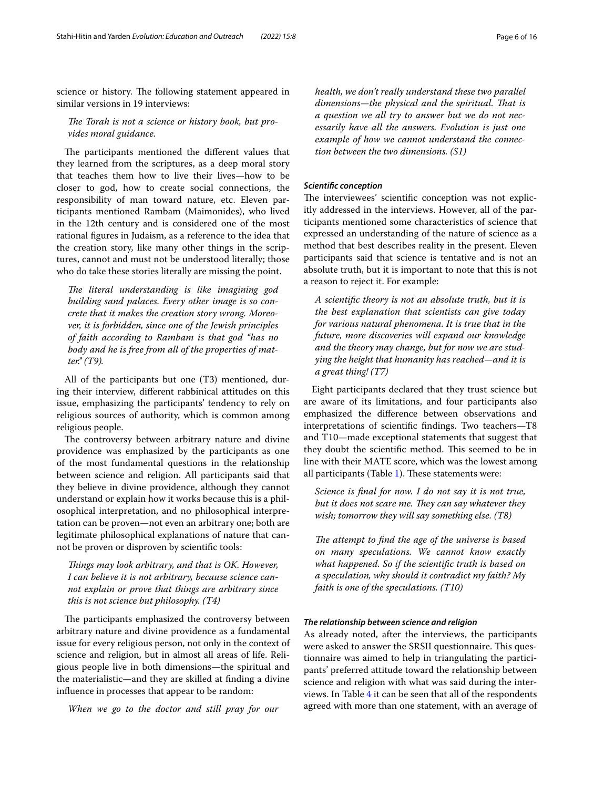science or history. The following statement appeared in similar versions in 19 interviews:

The Torah is not a science or history book, but pro*vides moral guidance.*

The participants mentioned the different values that they learned from the scriptures, as a deep moral story that teaches them how to live their lives—how to be closer to god, how to create social connections, the responsibility of man toward nature, etc. Eleven participants mentioned Rambam (Maimonides), who lived in the 12th century and is considered one of the most rational fgures in Judaism, as a reference to the idea that the creation story, like many other things in the scriptures, cannot and must not be understood literally; those who do take these stories literally are missing the point.

The literal understanding is like imagining god *building sand palaces. Every other image is so concrete that it makes the creation story wrong. Moreover, it is forbidden, since one of the Jewish principles of faith according to Rambam is that god "has no body and he is free from all of the properties of matter." (T9).*

All of the participants but one (T3) mentioned, during their interview, diferent rabbinical attitudes on this issue, emphasizing the participants' tendency to rely on religious sources of authority, which is common among religious people.

The controversy between arbitrary nature and divine providence was emphasized by the participants as one of the most fundamental questions in the relationship between science and religion. All participants said that they believe in divine providence, although they cannot understand or explain how it works because this is a philosophical interpretation, and no philosophical interpretation can be proven—not even an arbitrary one; both are legitimate philosophical explanations of nature that cannot be proven or disproven by scientifc tools:

*Tings may look arbitrary, and that is OK. However, I can believe it is not arbitrary, because science cannot explain or prove that things are arbitrary since this is not science but philosophy. (T4)*

The participants emphasized the controversy between arbitrary nature and divine providence as a fundamental issue for every religious person, not only in the context of science and religion, but in almost all areas of life. Religious people live in both dimensions—the spiritual and the materialistic—and they are skilled at fnding a divine infuence in processes that appear to be random:

*When we go to the doctor and still pray for our* 

*health, we don't really understand these two parallel dimensions—the physical and the spiritual. Tat is a question we all try to answer but we do not necessarily have all the answers. Evolution is just one example of how we cannot understand the connection between the two dimensions. (S1)*

#### *Scientifc conception*

The interviewees' scientific conception was not explicitly addressed in the interviews. However, all of the participants mentioned some characteristics of science that expressed an understanding of the nature of science as a method that best describes reality in the present. Eleven participants said that science is tentative and is not an absolute truth, but it is important to note that this is not a reason to reject it. For example:

*A scientifc theory is not an absolute truth, but it is the best explanation that scientists can give today for various natural phenomena. It is true that in the future, more discoveries will expand our knowledge and the theory may change, but for now we are studying the height that humanity has reached—and it is a great thing! (T7)*

Eight participants declared that they trust science but are aware of its limitations, and four participants also emphasized the diference between observations and interpretations of scientifc fndings. Two teachers—T8 and T10—made exceptional statements that suggest that they doubt the scientific method. This seemed to be in line with their MATE score, which was the lowest among all participants (Table  $1$ ). These statements were:

*Science is fnal for now. I do not say it is not true, but it does not scare me. They can say whatever they wish; tomorrow they will say something else. (T8)*

*The attempt to find the age of the universe is based on many speculations. We cannot know exactly what happened. So if the scientifc truth is based on a speculation, why should it contradict my faith? My faith is one of the speculations. (T10)*

#### *The relationship between science and religion*

As already noted, after the interviews, the participants were asked to answer the SRSII questionnaire. This questionnaire was aimed to help in triangulating the participants' preferred attitude toward the relationship between science and religion with what was said during the interviews. In Table [4](#page-6-0) it can be seen that all of the respondents agreed with more than one statement, with an average of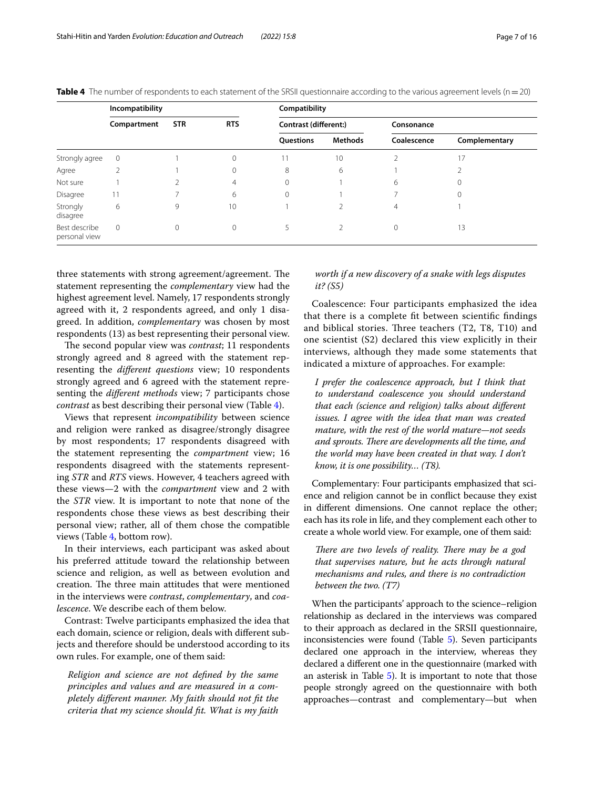|                                | Incompatibility |            |                | Compatibility         |                |             |               |  |  |
|--------------------------------|-----------------|------------|----------------|-----------------------|----------------|-------------|---------------|--|--|
|                                | Compartment     | <b>STR</b> | <b>RTS</b>     | Contrast (different:) |                | Consonance  |               |  |  |
|                                |                 |            |                | Questions             | <b>Methods</b> | Coalescence | Complementary |  |  |
| Strongly agree                 | $\circ$         |            | $\overline{0}$ |                       | 10             |             | 17            |  |  |
| Agree                          |                 |            | $\Omega$       | 8                     | 6              |             |               |  |  |
| Not sure                       |                 |            | 4              | 0                     |                | 6           |               |  |  |
| Disagree                       | 11              |            | 6              | 0                     |                |             |               |  |  |
| Strongly<br>disagree           | 6               | 9          | 10             |                       |                | 4           |               |  |  |
| Best describe<br>personal view | $\Omega$        | 0          | $\Omega$       |                       | ∠              | $\Omega$    | 13            |  |  |

<span id="page-6-0"></span>**Table 4** The number of respondents to each statement of the SRSII questionnaire according to the various agreement levels (n=20)

three statements with strong agreement/agreement. The statement representing the *complementary* view had the highest agreement level. Namely, 17 respondents strongly agreed with it, 2 respondents agreed, and only 1 disagreed. In addition, *complementary* was chosen by most respondents (13) as best representing their personal view.

The second popular view was *contrast*; 11 respondents strongly agreed and 8 agreed with the statement representing the *diferent questions* view; 10 respondents strongly agreed and 6 agreed with the statement representing the *diferent methods* view; 7 participants chose *contrast* as best describing their personal view (Table [4\)](#page-6-0).

Views that represent *incompatibility* between science and religion were ranked as disagree/strongly disagree by most respondents; 17 respondents disagreed with the statement representing the *compartment* view; 16 respondents disagreed with the statements representing *STR* and *RTS* views. However, 4 teachers agreed with these views—2 with the *compartment* view and 2 with the *STR* view. It is important to note that none of the respondents chose these views as best describing their personal view; rather, all of them chose the compatible views (Table [4,](#page-6-0) bottom row).

In their interviews, each participant was asked about his preferred attitude toward the relationship between science and religion, as well as between evolution and creation. The three main attitudes that were mentioned in the interviews were *contrast*, *complementary*, and *coalescence*. We describe each of them below.

Contrast: Twelve participants emphasized the idea that each domain, science or religion, deals with diferent subjects and therefore should be understood according to its own rules. For example, one of them said:

*Religion and science are not defned by the same principles and values and are measured in a completely diferent manner. My faith should not ft the criteria that my science should ft. What is my faith* 

## *worth if a new discovery of a snake with legs disputes it? (S5)*

Coalescence: Four participants emphasized the idea that there is a complete ft between scientifc fndings and biblical stories. Three teachers  $(T2, T8, T10)$  and one scientist (S2) declared this view explicitly in their interviews, although they made some statements that indicated a mixture of approaches. For example:

*I prefer the coalescence approach, but I think that to understand coalescence you should understand that each (science and religion) talks about diferent issues. I agree with the idea that man was created mature, with the rest of the world mature—not seeds and sprouts. There are developments all the time, and the world may have been created in that way. I don't know, it is one possibility… (T8).*

Complementary: Four participants emphasized that science and religion cannot be in confict because they exist in diferent dimensions. One cannot replace the other; each has its role in life, and they complement each other to create a whole world view. For example, one of them said:

*There are two levels of reality. There may be a god that supervises nature, but he acts through natural mechanisms and rules, and there is no contradiction between the two. (T7)*

When the participants' approach to the science–religion relationship as declared in the interviews was compared to their approach as declared in the SRSII questionnaire, inconsistencies were found (Table [5\)](#page-7-0). Seven participants declared one approach in the interview, whereas they declared a diferent one in the questionnaire (marked with an asterisk in Table [5\)](#page-7-0). It is important to note that those people strongly agreed on the questionnaire with both approaches—contrast and complementary—but when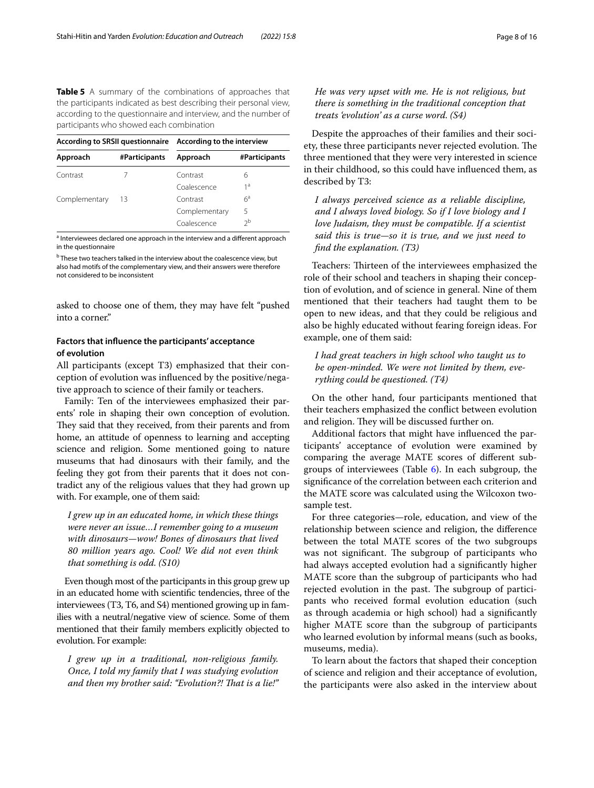<span id="page-7-0"></span>**Table 5** A summary of the combinations of approaches that the participants indicated as best describing their personal view, according to the questionnaire and interview, and the number of participants who showed each combination

|               |               | According to SRSII questionnaire According to the interview |                |  |  |
|---------------|---------------|-------------------------------------------------------------|----------------|--|--|
| Approach      | #Participants | Approach                                                    | #Participants  |  |  |
| Contrast      |               | Contrast                                                    | 6              |  |  |
|               |               | Coalescence                                                 | 1 <sup>a</sup> |  |  |
| Complementary | 13            | Contrast                                                    | $6^a$          |  |  |
|               |               | Complementary                                               | 5              |  |  |
|               |               | Coalescence                                                 | λp             |  |  |

<sup>a</sup> Interviewees declared one approach in the interview and a different approach in the questionnaire

<sup>b</sup> These two teachers talked in the interview about the coalescence view, but also had motifs of the complementary view, and their answers were therefore not considered to be inconsistent

asked to choose one of them, they may have felt "pushed into a corner."

## **Factors that infuence the participants' acceptance of evolution**

All participants (except T3) emphasized that their conception of evolution was infuenced by the positive/negative approach to science of their family or teachers.

Family: Ten of the interviewees emphasized their parents' role in shaping their own conception of evolution. They said that they received, from their parents and from home, an attitude of openness to learning and accepting science and religion. Some mentioned going to nature museums that had dinosaurs with their family, and the feeling they got from their parents that it does not contradict any of the religious values that they had grown up with. For example, one of them said:

*I grew up in an educated home, in which these things were never an issue…I remember going to a museum with dinosaurs—wow! Bones of dinosaurs that lived 80 million years ago. Cool! We did not even think that something is odd. (S10)*

Even though most of the participants in this group grew up in an educated home with scientifc tendencies, three of the interviewees (T3, T6, and S4) mentioned growing up in families with a neutral/negative view of science. Some of them mentioned that their family members explicitly objected to evolution. For example:

*I grew up in a traditional, non-religious family. Once, I told my family that I was studying evolution and then my brother said: "Evolution?! Tat is a lie!"*  *He was very upset with me. He is not religious, but there is something in the traditional conception that treats 'evolution' as a curse word. (S4)*

Despite the approaches of their families and their society, these three participants never rejected evolution. The three mentioned that they were very interested in science in their childhood, so this could have infuenced them, as described by T3:

*I always perceived science as a reliable discipline, and I always loved biology. So if I love biology and I love Judaism, they must be compatible. If a scientist said this is true—so it is true, and we just need to fnd the explanation. (T3)*

Teachers: Thirteen of the interviewees emphasized the role of their school and teachers in shaping their conception of evolution, and of science in general. Nine of them mentioned that their teachers had taught them to be open to new ideas, and that they could be religious and also be highly educated without fearing foreign ideas. For example, one of them said:

*I had great teachers in high school who taught us to be open-minded. We were not limited by them, everything could be questioned. (T4)*

On the other hand, four participants mentioned that their teachers emphasized the confict between evolution and religion. They will be discussed further on.

Additional factors that might have infuenced the participants' acceptance of evolution were examined by comparing the average MATE scores of diferent subgroups of interviewees (Table  $6$ ). In each subgroup, the signifcance of the correlation between each criterion and the MATE score was calculated using the Wilcoxon twosample test.

For three categories—role, education, and view of the relationship between science and religion, the diference between the total MATE scores of the two subgroups was not significant. The subgroup of participants who had always accepted evolution had a signifcantly higher MATE score than the subgroup of participants who had rejected evolution in the past. The subgroup of participants who received formal evolution education (such as through academia or high school) had a signifcantly higher MATE score than the subgroup of participants who learned evolution by informal means (such as books, museums, media).

To learn about the factors that shaped their conception of science and religion and their acceptance of evolution, the participants were also asked in the interview about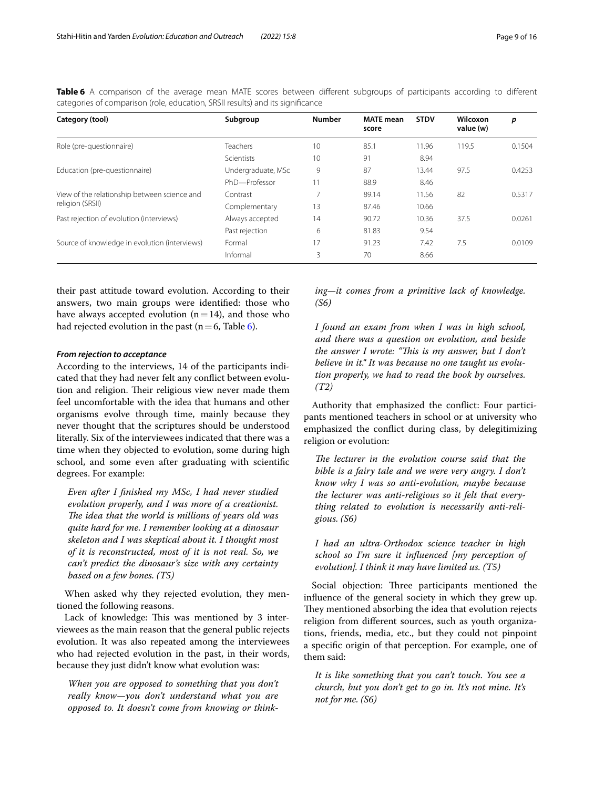<span id="page-8-0"></span>**Table 6** A comparison of the average mean MATE scores between diferent subgroups of participants according to diferent categories of comparison (role, education, SRSII results) and its signifcance

| Category (tool)                               | Subgroup           | <b>Number</b> | <b>MATE</b> mean<br>score | <b>STDV</b> | Wilcoxon<br>value (w) | р      |
|-----------------------------------------------|--------------------|---------------|---------------------------|-------------|-----------------------|--------|
| Role (pre-questionnaire)                      | <b>Teachers</b>    | 10            | 85.1                      | 11.96       | 119.5                 | 0.1504 |
|                                               | Scientists         | 10            | 91                        | 8.94        |                       |        |
| Education (pre-questionnaire)                 | Undergraduate, MSc | 9             | 87                        | 13.44       | 97.5                  | 0.4253 |
|                                               | PhD-Professor      |               | 88.9                      | 8.46        |                       |        |
| View of the relationship between science and  | Contrast           |               | 89.14                     | 11.56       | 82                    | 0.5317 |
| religion (SRSII)                              | Complementary      | 13            | 87.46                     | 10.66       |                       |        |
| Past rejection of evolution (interviews)      | Always accepted    | 14            | 90.72                     | 10.36       | 37.5                  | 0.0261 |
|                                               | Past rejection     | 6             | 81.83                     | 9.54        |                       |        |
| Source of knowledge in evolution (interviews) | Formal             | 17            | 91.23                     | 7.42        | 7.5                   | 0.0109 |
|                                               | Informal           | 3             | 70                        | 8.66        |                       |        |

their past attitude toward evolution. According to their answers, two main groups were identifed: those who have always accepted evolution  $(n=14)$ , and those who had rejected evolution in the past ( $n=6$ , Table [6\)](#page-8-0).

#### *From rejection to acceptance*

According to the interviews, 14 of the participants indicated that they had never felt any confict between evolution and religion. Their religious view never made them feel uncomfortable with the idea that humans and other organisms evolve through time, mainly because they never thought that the scriptures should be understood literally. Six of the interviewees indicated that there was a time when they objected to evolution, some during high school, and some even after graduating with scientifc degrees. For example:

*Even after I fnished my MSc, I had never studied evolution properly, and I was more of a creationist.*  The idea that the world is millions of years old was *quite hard for me. I remember looking at a dinosaur skeleton and I was skeptical about it. I thought most of it is reconstructed, most of it is not real. So, we can't predict the dinosaur's size with any certainty based on a few bones. (T5)*

When asked why they rejected evolution, they mentioned the following reasons.

Lack of knowledge: This was mentioned by 3 interviewees as the main reason that the general public rejects evolution. It was also repeated among the interviewees who had rejected evolution in the past, in their words, because they just didn't know what evolution was:

*When you are opposed to something that you don't really know—you don't understand what you are opposed to. It doesn't come from knowing or think-* *ing—it comes from a primitive lack of knowledge. (S6)*

*I found an exam from when I was in high school, and there was a question on evolution, and beside the answer I wrote: "This is my answer, but I don't believe in it." It was because no one taught us evolution properly, we had to read the book by ourselves. (T2)*

Authority that emphasized the confict: Four participants mentioned teachers in school or at university who emphasized the confict during class, by delegitimizing religion or evolution:

*The lecturer in the evolution course said that the bible is a fairy tale and we were very angry. I don't know why I was so anti-evolution, maybe because the lecturer was anti-religious so it felt that everything related to evolution is necessarily anti-religious. (S6)*

*I had an ultra-Orthodox science teacher in high school so I'm sure it infuenced [my perception of evolution]. I think it may have limited us. (T5)*

Social objection: Three participants mentioned the infuence of the general society in which they grew up. They mentioned absorbing the idea that evolution rejects religion from diferent sources, such as youth organizations, friends, media, etc., but they could not pinpoint a specifc origin of that perception. For example, one of them said:

*It is like something that you can't touch. You see a church, but you don't get to go in. It's not mine. It's not for me. (S6)*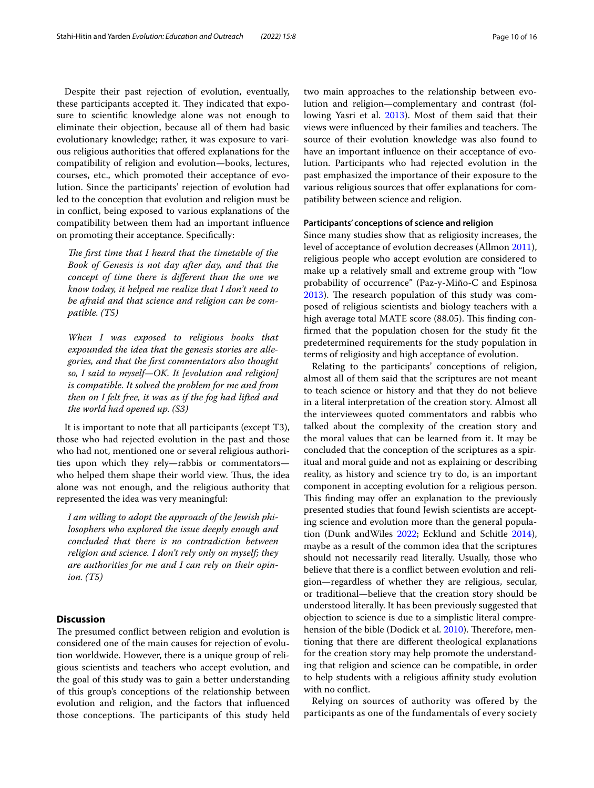Despite their past rejection of evolution, eventually, these participants accepted it. They indicated that exposure to scientifc knowledge alone was not enough to eliminate their objection, because all of them had basic evolutionary knowledge; rather, it was exposure to various religious authorities that ofered explanations for the

compatibility of religion and evolution—books, lectures, courses, etc., which promoted their acceptance of evolution. Since the participants' rejection of evolution had led to the conception that evolution and religion must be in confict, being exposed to various explanations of the compatibility between them had an important infuence on promoting their acceptance. Specifcally:

The first time that I heard that the timetable of the *Book of Genesis is not day after day, and that the concept of time there is diferent than the one we know today, it helped me realize that I don't need to be afraid and that science and religion can be compatible. (T5)*

*When I was exposed to religious books that expounded the idea that the genesis stories are allegories, and that the frst commentators also thought so, I said to myself—OK. It [evolution and religion] is compatible. It solved the problem for me and from then on I felt free, it was as if the fog had lifted and the world had opened up. (S3)*

It is important to note that all participants (except T3), those who had rejected evolution in the past and those who had not, mentioned one or several religious authorities upon which they rely—rabbis or commentators who helped them shape their world view. Thus, the idea alone was not enough, and the religious authority that represented the idea was very meaningful:

*I am willing to adopt the approach of the Jewish philosophers who explored the issue deeply enough and concluded that there is no contradiction between religion and science. I don't rely only on myself; they are authorities for me and I can rely on their opinion. (T5)*

## <span id="page-9-0"></span>**Discussion**

The presumed conflict between religion and evolution is considered one of the main causes for rejection of evolution worldwide. However, there is a unique group of religious scientists and teachers who accept evolution, and the goal of this study was to gain a better understanding of this group's conceptions of the relationship between evolution and religion, and the factors that infuenced those conceptions. The participants of this study held two main approaches to the relationship between evolution and religion—complementary and contrast (fol-lowing Yasri et al. [2013\)](#page-15-3). Most of them said that their views were influenced by their families and teachers. The source of their evolution knowledge was also found to have an important infuence on their acceptance of evolution. Participants who had rejected evolution in the past emphasized the importance of their exposure to the various religious sources that offer explanations for compatibility between science and religion.

#### **Participants' conceptions of science and religion**

Since many studies show that as religiosity increases, the level of acceptance of evolution decreases (Allmon [2011](#page-14-16)), religious people who accept evolution are considered to make up a relatively small and extreme group with "low probability of occurrence" (Paz-y-Miño-C and Espinosa [2013](#page-14-8)). The research population of this study was composed of religious scientists and biology teachers with a high average total MATE score (88.05). This finding confrmed that the population chosen for the study ft the predetermined requirements for the study population in terms of religiosity and high acceptance of evolution.

Relating to the participants' conceptions of religion, almost all of them said that the scriptures are not meant to teach science or history and that they do not believe in a literal interpretation of the creation story. Almost all the interviewees quoted commentators and rabbis who talked about the complexity of the creation story and the moral values that can be learned from it. It may be concluded that the conception of the scriptures as a spiritual and moral guide and not as explaining or describing reality, as history and science try to do, is an important component in accepting evolution for a religious person. This finding may offer an explanation to the previously presented studies that found Jewish scientists are accepting science and evolution more than the general population (Dunk andWiles [2022;](#page-14-14) Ecklund and Schitle [2014](#page-14-10)), maybe as a result of the common idea that the scriptures should not necessarily read literally. Usually, those who believe that there is a confict between evolution and religion—regardless of whether they are religious, secular, or traditional—believe that the creation story should be understood literally. It has been previously suggested that objection to science is due to a simplistic literal compre-hension of the bible (Dodick et al. [2010\)](#page-14-28). Therefore, mentioning that there are diferent theological explanations for the creation story may help promote the understanding that religion and science can be compatible, in order to help students with a religious affinity study evolution with no confict.

Relying on sources of authority was ofered by the participants as one of the fundamentals of every society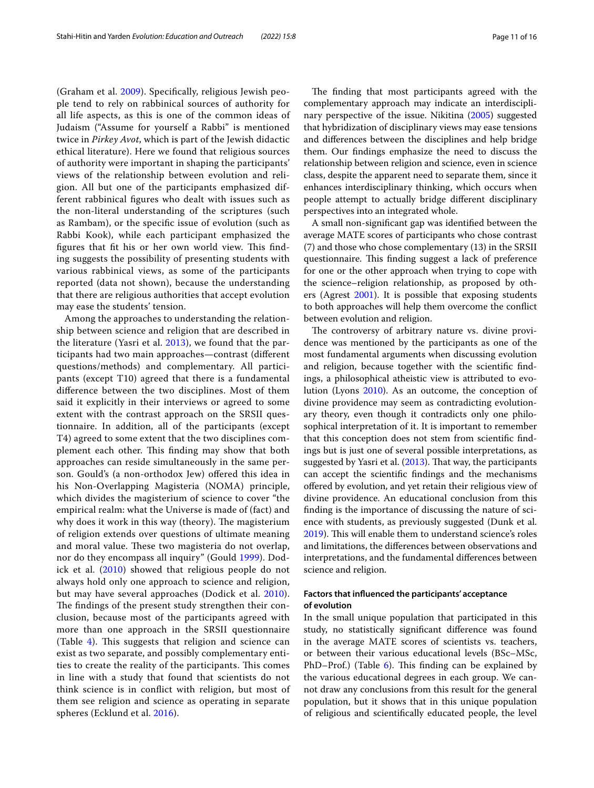(Graham et al. [2009](#page-14-29)). Specifcally, religious Jewish people tend to rely on rabbinical sources of authority for all life aspects, as this is one of the common ideas of Judaism ("Assume for yourself a Rabbi" is mentioned twice in *Pirkey Avot*, which is part of the Jewish didactic ethical literature). Here we found that religious sources of authority were important in shaping the participants' views of the relationship between evolution and religion. All but one of the participants emphasized different rabbinical fgures who dealt with issues such as the non-literal understanding of the scriptures (such as Rambam), or the specifc issue of evolution (such as Rabbi Kook), while each participant emphasized the figures that fit his or her own world view. This finding suggests the possibility of presenting students with various rabbinical views, as some of the participants reported (data not shown), because the understanding that there are religious authorities that accept evolution may ease the students' tension.

Among the approaches to understanding the relationship between science and religion that are described in the literature (Yasri et al. [2013](#page-15-3)), we found that the participants had two main approaches—contrast (diferent questions/methods) and complementary. All participants (except T10) agreed that there is a fundamental diference between the two disciplines. Most of them said it explicitly in their interviews or agreed to some extent with the contrast approach on the SRSII questionnaire. In addition, all of the participants (except T4) agreed to some extent that the two disciplines complement each other. This finding may show that both approaches can reside simultaneously in the same person. Gould's (a non-orthodox Jew) ofered this idea in his Non-Overlapping Magisteria (NOMA) principle, which divides the magisterium of science to cover "the empirical realm: what the Universe is made of (fact) and why does it work in this way (theory). The magisterium of religion extends over questions of ultimate meaning and moral value. These two magisteria do not overlap, nor do they encompass all inquiry" (Gould [1999](#page-14-30)). Dodick et al. ([2010](#page-14-28)) showed that religious people do not always hold only one approach to science and religion, but may have several approaches (Dodick et al. [2010\)](#page-14-28). The findings of the present study strengthen their conclusion, because most of the participants agreed with more than one approach in the SRSII questionnaire (Table  $4$ ). This suggests that religion and science can exist as two separate, and possibly complementary entities to create the reality of the participants. This comes in line with a study that found that scientists do not think science is in confict with religion, but most of them see religion and science as operating in separate spheres (Ecklund et al. [2016](#page-14-9)).

The finding that most participants agreed with the complementary approach may indicate an interdisciplinary perspective of the issue. Nikitina [\(2005\)](#page-14-31) suggested that hybridization of disciplinary views may ease tensions and diferences between the disciplines and help bridge them. Our fndings emphasize the need to discuss the relationship between religion and science, even in science class, despite the apparent need to separate them, since it enhances interdisciplinary thinking, which occurs when people attempt to actually bridge diferent disciplinary perspectives into an integrated whole.

A small non-signifcant gap was identifed between the average MATE scores of participants who chose contrast (7) and those who chose complementary (13) in the SRSII questionnaire. This finding suggest a lack of preference for one or the other approach when trying to cope with the science–religion relationship, as proposed by others (Agrest [2001](#page-14-32)). It is possible that exposing students to both approaches will help them overcome the confict between evolution and religion.

The controversy of arbitrary nature vs. divine providence was mentioned by the participants as one of the most fundamental arguments when discussing evolution and religion, because together with the scientifc fndings, a philosophical atheistic view is attributed to evolution (Lyons [2010\)](#page-14-5). As an outcome, the conception of divine providence may seem as contradicting evolutionary theory, even though it contradicts only one philosophical interpretation of it. It is important to remember that this conception does not stem from scientifc fndings but is just one of several possible interpretations, as suggested by Yasri et al.  $(2013)$ . That way, the participants can accept the scientifc fndings and the mechanisms ofered by evolution, and yet retain their religious view of divine providence. An educational conclusion from this fnding is the importance of discussing the nature of science with students, as previously suggested (Dunk et al. [2019](#page-14-33)). This will enable them to understand science's roles and limitations, the diferences between observations and interpretations, and the fundamental diferences between science and religion.

## **Factors that infuenced the participants' acceptance of evolution**

In the small unique population that participated in this study, no statistically signifcant diference was found in the average MATE scores of scientists vs. teachers, or between their various educational levels (BSc–MSc, PhD–Prof.) (Table  $6$ ). This finding can be explained by the various educational degrees in each group. We cannot draw any conclusions from this result for the general population, but it shows that in this unique population of religious and scientifcally educated people, the level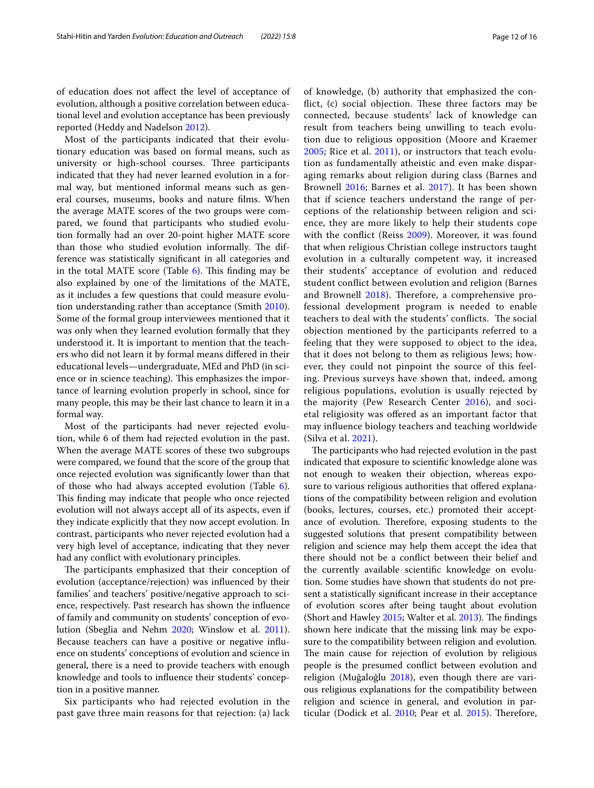of education does not afect the level of acceptance of evolution, although a positive correlation between educational level and evolution acceptance has been previously reported (Heddy and Nadelson [2012](#page-14-34)).

Most of the participants indicated that their evolutionary education was based on formal means, such as university or high-school courses. Three participants indicated that they had never learned evolution in a formal way, but mentioned informal means such as general courses, museums, books and nature flms. When the average MATE scores of the two groups were compared, we found that participants who studied evolution formally had an over 20-point higher MATE score than those who studied evolution informally. The difference was statistically signifcant in all categories and in the total MATE score (Table  $6$ ). This finding may be also explained by one of the limitations of the MATE, as it includes a few questions that could measure evolution understanding rather than acceptance (Smith [2010](#page-15-7)). Some of the formal group interviewees mentioned that it was only when they learned evolution formally that they understood it. It is important to mention that the teachers who did not learn it by formal means difered in their educational levels—undergraduate, MEd and PhD (in science or in science teaching). This emphasizes the importance of learning evolution properly in school, since for many people, this may be their last chance to learn it in a formal way.

Most of the participants had never rejected evolution, while 6 of them had rejected evolution in the past. When the average MATE scores of these two subgroups were compared, we found that the score of the group that once rejected evolution was signifcantly lower than that of those who had always accepted evolution (Table [6](#page-8-0)). This finding may indicate that people who once rejected evolution will not always accept all of its aspects, even if they indicate explicitly that they now accept evolution. In contrast, participants who never rejected evolution had a very high level of acceptance, indicating that they never had any confict with evolutionary principles.

The participants emphasized that their conception of evolution (acceptance/rejection) was infuenced by their families' and teachers' positive/negative approach to science, respectively. Past research has shown the infuence of family and community on students' conception of evolution (Sbeglia and Nehm [2020](#page-14-4); Winslow et al. [2011](#page-15-0)). Because teachers can have a positive or negative infuence on students' conceptions of evolution and science in general, there is a need to provide teachers with enough knowledge and tools to infuence their students' conception in a positive manner.

Six participants who had rejected evolution in the past gave three main reasons for that rejection: (a) lack of knowledge, (b) authority that emphasized the conflict,  $(c)$  social objection. These three factors may be connected, because students' lack of knowledge can result from teachers being unwilling to teach evolution due to religious opposition (Moore and Kraemer [2005;](#page-14-35) Rice et al. [2011\)](#page-14-36), or instructors that teach evolution as fundamentally atheistic and even make disparaging remarks about religion during class (Barnes and Brownell [2016](#page-14-37); Barnes et al. [2017](#page-14-38)). It has been shown that if science teachers understand the range of perceptions of the relationship between religion and science, they are more likely to help their students cope with the conflict (Reiss [2009](#page-14-39)). Moreover, it was found that when religious Christian college instructors taught evolution in a culturally competent way, it increased their students' acceptance of evolution and reduced student confict between evolution and religion (Barnes and Brownell [2018\)](#page-14-40). Therefore, a comprehensive professional development program is needed to enable teachers to deal with the students' conflicts. The social objection mentioned by the participants referred to a feeling that they were supposed to object to the idea, that it does not belong to them as religious Jews; however, they could not pinpoint the source of this feeling. Previous surveys have shown that, indeed, among religious populations, evolution is usually rejected by the majority (Pew Research Center [2016\)](#page-14-22), and societal religiosity was ofered as an important factor that may infuence biology teachers and teaching worldwide (Silva et al. [2021](#page-15-8)).

The participants who had rejected evolution in the past indicated that exposure to scientifc knowledge alone was not enough to weaken their objection, whereas exposure to various religious authorities that offered explanations of the compatibility between religion and evolution (books, lectures, courses, etc.) promoted their acceptance of evolution. Therefore, exposing students to the suggested solutions that present compatibility between religion and science may help them accept the idea that there should not be a confict between their belief and the currently available scientifc knowledge on evolution. Some studies have shown that students do not present a statistically signifcant increase in their acceptance of evolution scores after being taught about evolution (Short and Hawley  $2015$ ; Walter et al.  $2013$ ). The findings shown here indicate that the missing link may be exposure to the compatibility between religion and evolution. The main cause for rejection of evolution by religious people is the presumed confict between evolution and religion (Muğaloğlu [2018](#page-14-41)), even though there are various religious explanations for the compatibility between religion and science in general, and evolution in par-ticular (Dodick et al. [2010;](#page-14-28) Pear et al. [2015\)](#page-14-18). Therefore,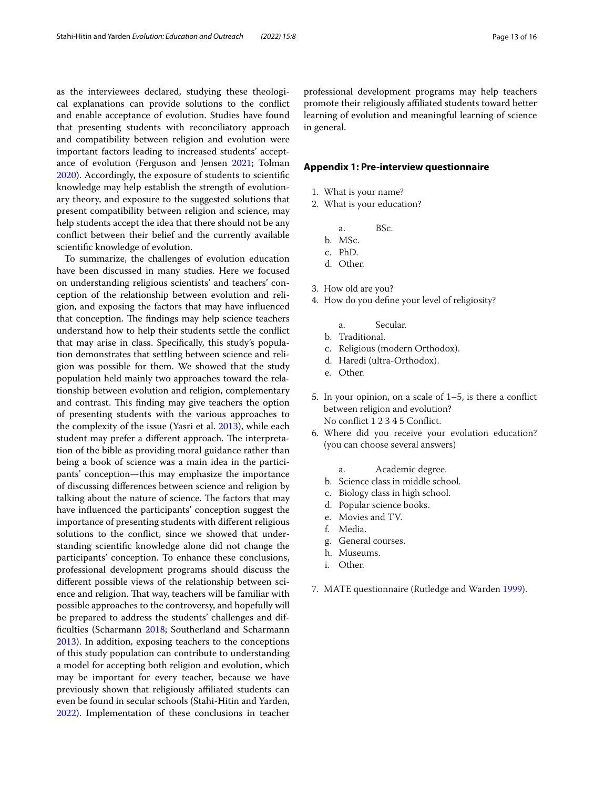as the interviewees declared, studying these theological explanations can provide solutions to the confict and enable acceptance of evolution. Studies have found that presenting students with reconciliatory approach and compatibility between religion and evolution were important factors leading to increased students' acceptance of evolution (Ferguson and Jensen [2021](#page-14-42); Tolman [2020](#page-15-11)). Accordingly, the exposure of students to scientifc knowledge may help establish the strength of evolutionary theory, and exposure to the suggested solutions that present compatibility between religion and science, may help students accept the idea that there should not be any confict between their belief and the currently available scientifc knowledge of evolution.

To summarize, the challenges of evolution education have been discussed in many studies. Here we focused on understanding religious scientists' and teachers' conception of the relationship between evolution and religion, and exposing the factors that may have infuenced that conception. The findings may help science teachers understand how to help their students settle the confict that may arise in class. Specifcally, this study's population demonstrates that settling between science and religion was possible for them. We showed that the study population held mainly two approaches toward the relationship between evolution and religion, complementary and contrast. This finding may give teachers the option of presenting students with the various approaches to the complexity of the issue (Yasri et al. [2013\)](#page-15-3), while each student may prefer a different approach. The interpretation of the bible as providing moral guidance rather than being a book of science was a main idea in the participants' conception—this may emphasize the importance of discussing diferences between science and religion by talking about the nature of science. The factors that may have infuenced the participants' conception suggest the importance of presenting students with diferent religious solutions to the confict, since we showed that understanding scientifc knowledge alone did not change the participants' conception. To enhance these conclusions, professional development programs should discuss the diferent possible views of the relationship between science and religion. That way, teachers will be familiar with possible approaches to the controversy, and hopefully will be prepared to address the students' challenges and diffculties (Scharmann [2018](#page-15-12); Southerland and Scharmann [2013](#page-15-13)). In addition, exposing teachers to the conceptions of this study population can contribute to understanding a model for accepting both religion and evolution, which may be important for every teacher, because we have previously shown that religiously afliated students can even be found in secular schools (Stahi-Hitin and Yarden, [2022](#page-15-6)). Implementation of these conclusions in teacher professional development programs may help teachers promote their religiously affiliated students toward better learning of evolution and meaningful learning of science in general.

#### <span id="page-12-0"></span>**Appendix 1: Pre‑interview questionnaire**

- 1. What is your name?
- 2. What is your education?
	- a. BSc.
	- b. MSc.
	- c. PhD.
	- d. Other.
- 3. How old are you?
- 4. How do you defne your level of religiosity?
	- a. Secular.
	- b. Traditional.
	- c. Religious (modern Orthodox).
	- d. Haredi (ultra-Orthodox).
	- e. Other.
- 5. In your opinion, on a scale of 1–5, is there a confict between religion and evolution? No confict 1 2 3 4 5 Confict.
- 6. Where did you receive your evolution education? (you can choose several answers)
	- a. Academic degree.
	- b. Science class in middle school.
	- c. Biology class in high school.
	- d. Popular science books.
	- e. Movies and TV.
	- f. Media.
	- g. General courses.
	- h. Museums.
	- i. Other.
- 7. MATE questionnaire (Rutledge and Warden [1999\)](#page-14-23).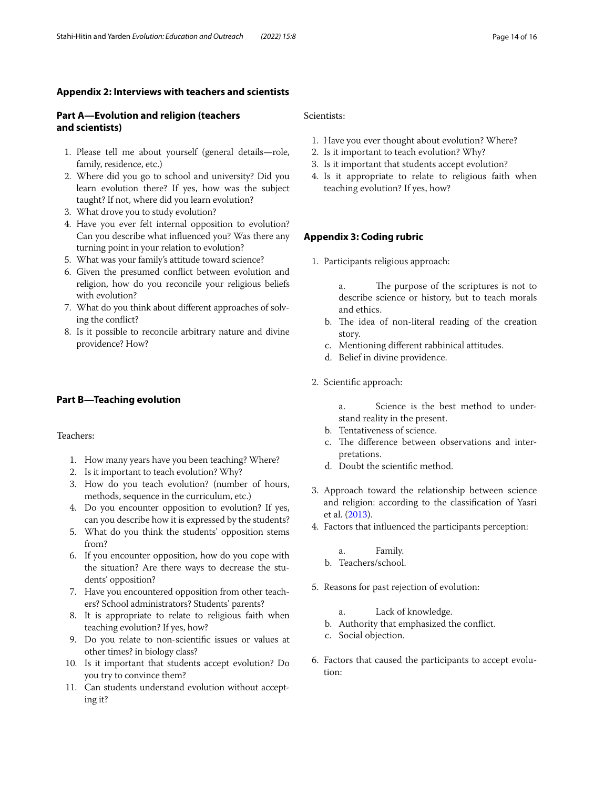## <span id="page-13-0"></span>**Appendix 2: Interviews with teachers and scientists**

## **Part A—Evolution and religion (teachers and scientists)**

- 1. Please tell me about yourself (general details—role, family, residence, etc.)
- 2. Where did you go to school and university? Did you learn evolution there? If yes, how was the subject taught? If not, where did you learn evolution?
- 3. What drove you to study evolution?
- 4. Have you ever felt internal opposition to evolution? Can you describe what infuenced you? Was there any turning point in your relation to evolution?
- 5. What was your family's attitude toward science?
- 6. Given the presumed confict between evolution and religion, how do you reconcile your religious beliefs with evolution?
- 7. What do you think about diferent approaches of solving the confict?
- 8. Is it possible to reconcile arbitrary nature and divine providence? How?

## **Part B—Teaching evolution**

## Teachers:

- 1. How many years have you been teaching? Where?
- 2. Is it important to teach evolution? Why?
- 3. How do you teach evolution? (number of hours, methods, sequence in the curriculum, etc.)
- 4. Do you encounter opposition to evolution? If yes, can you describe how it is expressed by the students?
- 5. What do you think the students' opposition stems from?
- 6. If you encounter opposition, how do you cope with the situation? Are there ways to decrease the students' opposition?
- 7. Have you encountered opposition from other teachers? School administrators? Students' parents?
- 8. It is appropriate to relate to religious faith when teaching evolution? If yes, how?
- 9. Do you relate to non-scientifc issues or values at other times? in biology class?
- 10. Is it important that students accept evolution? Do you try to convince them?
- 11. Can students understand evolution without accepting it?

## Scientists:

- 1. Have you ever thought about evolution? Where?
- 2. Is it important to teach evolution? Why?
- 3. Is it important that students accept evolution?
- 4. Is it appropriate to relate to religious faith when teaching evolution? If yes, how?

## <span id="page-13-1"></span>**Appendix 3: Coding rubric**

- 1. Participants religious approach:
	- a. The purpose of the scriptures is not to describe science or history, but to teach morals and ethics.
	- b. The idea of non-literal reading of the creation story.
	- c. Mentioning diferent rabbinical attitudes.
	- d. Belief in divine providence.
- 2. Scientifc approach:
	- a. Science is the best method to understand reality in the present.
	- b. Tentativeness of science.
	- c. The difference between observations and interpretations.
	- d. Doubt the scientifc method.
- 3. Approach toward the relationship between science and religion: according to the classifcation of Yasri et al. [\(2013](#page-15-3)).
- 4. Factors that infuenced the participants perception:
	- a. Family.
	- b. Teachers/school.
- 5. Reasons for past rejection of evolution:
	- a. Lack of knowledge.
	- b. Authority that emphasized the confict.
	- c. Social objection.
- 6. Factors that caused the participants to accept evolution: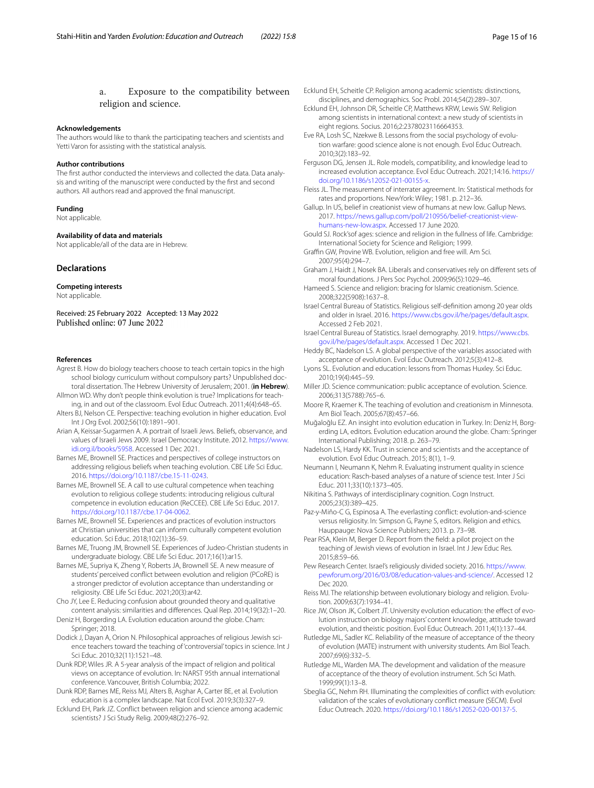## a. Exposure to the compatibility between religion and science.

#### **Acknowledgements**

The authors would like to thank the participating teachers and scientists and Yetti Varon for assisting with the statistical analysis.

#### **Author contributions**

The first author conducted the interviews and collected the data. Data analysis and writing of the manuscript were conducted by the frst and second authors. All authors read and approved the fnal manuscript.

#### **Funding**

Not applicable.

#### **Availability of data and materials**

Not applicable/all of the data are in Hebrew.

#### **Declarations**

#### **Competing interests**

Not applicable.

Received: 25 February 2022 Accepted: 13 May 2022 Published online: 07 June 2022

#### **References**

- <span id="page-14-32"></span>Agrest B. How do biology teachers choose to teach certain topics in the high school biology curriculum without compulsory parts? Unpublished doctoral dissertation. The Hebrew University of Jerusalem; 2001. (**in Hebrew**).
- <span id="page-14-16"></span>Allmon WD. Why don't people think evolution is true? Implications for teaching, in and out of the classroom. Evol Educ Outreach. 2011;4(4):648–65.
- <span id="page-14-12"></span>Alters BJ, Nelson CE. Perspective: teaching evolution in higher education. Evol Int J Org Evol. 2002;56(10):1891–901.
- <span id="page-14-21"></span>Arian A, Keissar-Sugarmen A. A portrait of Israeli Jews. Beliefs, observance, and values of Israeli Jews 2009. Israel Democracy Institute. 2012. [https://www.](https://doi.org/https://www.idi.org.il/books/5958) [idi.org.il/books/5958.](https://doi.org/https://www.idi.org.il/books/5958) Accessed 1 Dec 2021.
- <span id="page-14-37"></span>Barnes ME, Brownell SE. Practices and perspectives of college instructors on addressing religious beliefs when teaching evolution. CBE Life Sci Educ. 2016.<https://doi.org/10.1187/cbe.15-11-0243>.
- <span id="page-14-7"></span>Barnes ME, Brownell SE. A call to use cultural competence when teaching evolution to religious college students: introducing religious cultural competence in evolution education (ReCCEE). CBE Life Sci Educ. 2017. [https://doi.org/10.1187/cbe.17-04-0062.](https://doi.org/10.1187/cbe.17-04-0062)
- <span id="page-14-40"></span>Barnes ME, Brownell SE. Experiences and practices of evolution instructors at Christian universities that can inform culturally competent evolution education. Sci Educ. 2018;102(1):36–59.
- <span id="page-14-38"></span>Barnes ME, Truong JM, Brownell SE. Experiences of Judeo-Christian students in undergraduate biology. CBE Life Sci Educ. 2017;16(1):ar15.
- <span id="page-14-0"></span>Barnes ME, Supriya K, Zheng Y, Roberts JA, Brownell SE. A new measure of students' perceived confict between evolution and religion (PCoRE) is a stronger predictor of evolution acceptance than understanding or religiosity. CBE Life Sci Educ. 2021;20(3):ar42.
- <span id="page-14-25"></span>Cho JY, Lee E. Reducing confusion about grounded theory and qualitative content analysis: similarities and diferences. Qual Rep. 2014;19(32):1–20.
- <span id="page-14-1"></span>Deniz H, Borgerding LA. Evolution education around the globe. Cham: Springer; 2018.
- <span id="page-14-28"></span>Dodick J, Dayan A, Orion N. Philosophical approaches of religious Jewish science teachers toward the teaching of 'controversial' topics in science. Int J Sci Educ. 2010;32(11):1521–48.
- <span id="page-14-14"></span>Dunk RDP, Wiles JR. A 5-year analysis of the impact of religion and political views on acceptance of evolution. In: NARST 95th annual international conference. Vancouver, British Columbia; 2022.
- <span id="page-14-33"></span>Dunk RDP, Barnes ME, Reiss MJ, Alters B, Asghar A, Carter BE, et al. Evolution education is a complex landscape. Nat Ecol Evol. 2019;3(3):327–9.
- <span id="page-14-13"></span>Ecklund EH, Park JZ. Confict between religion and science among academic scientists? J Sci Study Relig. 2009;48(2):276–92.

<span id="page-14-10"></span>Ecklund EH, Scheitle CP. Religion among academic scientists: distinctions, disciplines, and demographics. Soc Probl. 2014;54(2):289–307.

- <span id="page-14-9"></span>Ecklund EH, Johnson DR, Scheitle CP, Matthews KRW, Lewis SW. Religion among scientists in international context: a new study of scientists in eight regions. Socius. 2016;2:2378023116664353.
- <span id="page-14-17"></span>Eve RA, Losh SC, Nzekwe B. Lessons from the social psychology of evolution warfare: good science alone is not enough. Evol Educ Outreach. 2010;3(2):183–92.
- <span id="page-14-42"></span>Ferguson DG, Jensen JL. Role models, compatibility, and knowledge lead to increased evolution acceptance. Evol Educ Outreach. 2021;14:16. [https://](https://doi.org/10.1186/s12052-021-00155-x) [doi.org/10.1186/s12052-021-00155-x.](https://doi.org/10.1186/s12052-021-00155-x)

<span id="page-14-27"></span>Fleiss JL. The measurement of interrater agreement. In: Statistical methods for rates and proportions. NewYork: Wiley; 1981. p. 212–36.

<span id="page-14-6"></span>Gallup. In US, belief in creationist view of humans at new low. Gallup News. 2017. [https://news.gallup.com/poll/210956/belief-creationist-view](https://news.gallup.com/poll/210956/belief-creationist-view-humans-new-low.aspx) [humans-new-low.aspx](https://news.gallup.com/poll/210956/belief-creationist-view-humans-new-low.aspx). Accessed 17 June 2020.

- <span id="page-14-30"></span>Gould SJ. Rock'sof ages: science and religion in the fullness of life. Cambridge: International Society for Science and Religion; 1999.
- <span id="page-14-11"></span>Graffin GW, Provine WB. Evolution, religion and free will. Am Sci. 2007;95(4):294–7.
- <span id="page-14-29"></span>Graham J, Haidt J, Nosek BA. Liberals and conservatives rely on diferent sets of moral foundations. J Pers Soc Psychol. 2009;96(5):1029–46.
- <span id="page-14-2"></span>Hameed S. Science and religion: bracing for Islamic creationism. Science. 2008;322(5908):1637–8.
- <span id="page-14-20"></span>Israel Central Bureau of Statistics. Religious self-defnition among 20 year olds and older in Israel. 2016. <https://www.cbs.gov.il/he/pages/default.aspx>. Accessed 2 Feb 2021.
- <span id="page-14-19"></span>Israel Central Bureau of Statistics. Israel demography. 2019. [https://www.cbs.](https://www.cbs.gov.il/he/pages/default.aspx) [gov.il/he/pages/default.aspx.](https://www.cbs.gov.il/he/pages/default.aspx) Accessed 1 Dec 2021.
- <span id="page-14-34"></span>Heddy BC, Nadelson LS. A global perspective of the variables associated with acceptance of evolution. Evol Educ Outreach. 2012;5(3):412–8.
- <span id="page-14-5"></span>Lyons SL. Evolution and education: lessons from Thomas Huxley. Sci Educ. 2010;19(4):445–59.
- <span id="page-14-3"></span>Miller JD. Science communication: public acceptance of evolution. Science. 2006;313(5788):765–6.
- <span id="page-14-35"></span>Moore R, Kraemer K. The teaching of evolution and creationism in Minnesota. Am Biol Teach. 2005;67(8):457–66.
- <span id="page-14-41"></span>Muğaloğlu EZ. An insight into evolution education in Turkey. In: Deniz H, Borg‑ erding LA, editors. Evolution education around the globe. Cham: Springer International Publishing; 2018. p. 263–79.
- <span id="page-14-15"></span>Nadelson LS, Hardy KK. Trust in science and scientists and the acceptance of evolution. Evol Educ Outreach. 2015; 8(1), 1–9.
- <span id="page-14-24"></span>Neumann I, Neumann K, Nehm R. Evaluating instrument quality in science education: Rasch-based analyses of a nature of science test. Inter J Sci Educ. 2011;33(10):1373–405.
- <span id="page-14-31"></span>Nikitina S. Pathways of interdisciplinary cognition. Cogn Instruct. 2005;23(3):389–425.
- <span id="page-14-8"></span>Paz-y-Miño-C G, Espinosa A. The everlasting confict: evolution-and-science versus religiosity. In: Simpson G, Payne S, editors. Religion and ethics. Hauppauge: Nova Science Publishers; 2013. p. 73–98.
- <span id="page-14-18"></span>Pear RSA, Klein M, Berger D. Report from the feld: a pilot project on the teaching of Jewish views of evolution in Israel. Int J Jew Educ Res. 2015;8:59–66.
- <span id="page-14-22"></span>Pew Research Center. Israel's religiously divided society. 2016. [https://www.](https://www.pewforum.org/2016/03/08/education-values-and-science/) [pewforum.org/2016/03/08/education-values-and-science/.](https://www.pewforum.org/2016/03/08/education-values-and-science/) Accessed 12 Dec 2020.
- <span id="page-14-39"></span>Reiss MJ. The relationship between evolutionary biology and religion. Evolution. 2009;63(7):1934–41.
- <span id="page-14-36"></span>Rice JW, Olson JK, Colbert JT. University evolution education: the effect of evolution instruction on biology majors' content knowledge, attitude toward evolution, and theistic position. Evol Educ Outreach. 2011;4(1):137–44.
- <span id="page-14-26"></span>Rutledge ML, Sadler KC. Reliability of the measure of acceptance of the theory of evolution (MATE) instrument with university students. Am Biol Teach. 2007;69(6):332–5.
- <span id="page-14-23"></span>Rutledge ML, Warden MA. The development and validation of the measure of acceptance of the theory of evolution instrument. Sch Sci Math. 1999;99(1):13–8.
- <span id="page-14-4"></span>Sbeglia GC, Nehm RH. Illuminating the complexities of confict with evolution: validation of the scales of evolutionary confict measure (SECM). Evol Educ Outreach. 2020. <https://doi.org/10.1186/s12052-020-00137-5>.